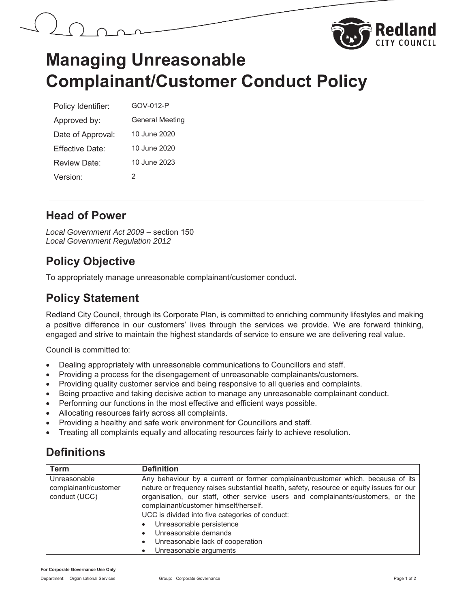



# **Managing Unreasonable Complainant/Customer Conduct Policy**

| Policy Identifier: | GOV-012-P              |
|--------------------|------------------------|
| Approved by:       | <b>General Meeting</b> |
| Date of Approval:  | 10 June 2020           |
| Effective Date:    | 10 June 2020           |
| Review Date:       | 10 June 2023           |
| Version:           | 2                      |

### **Head of Power**

*Local Government Act 2009* – section 150 *Local Government Regulation 2012*

## **Policy Objective**

To appropriately manage unreasonable complainant/customer conduct.

## **Policy Statement**

Redland City Council, through its Corporate Plan, is committed to enriching community lifestyles and making a positive difference in our customers' lives through the services we provide. We are forward thinking, engaged and strive to maintain the highest standards of service to ensure we are delivering real value.

Council is committed to:

- Dealing appropriately with unreasonable communications to Councillors and staff.
- Providing a process for the disengagement of unreasonable complainants/customers.
- Providing quality customer service and being responsive to all queries and complaints.
- Being proactive and taking decisive action to manage any unreasonable complainant conduct.
- Performing our functions in the most effective and efficient ways possible.
- Allocating resources fairly across all complaints.
- Providing a healthy and safe work environment for Councillors and staff.
- Treating all complaints equally and allocating resources fairly to achieve resolution.

# **Definitions**

| <b>Term</b>                                           | <b>Definition</b>                                                                                                                                                                                                                                                                                                                                                                                                                                                                                      |
|-------------------------------------------------------|--------------------------------------------------------------------------------------------------------------------------------------------------------------------------------------------------------------------------------------------------------------------------------------------------------------------------------------------------------------------------------------------------------------------------------------------------------------------------------------------------------|
| Unreasonable<br>complainant/customer<br>conduct (UCC) | Any behaviour by a current or former complainant/customer which, because of its<br>nature or frequency raises substantial health, safety, resource or equity issues for our<br>organisation, our staff, other service users and complainants/customers, or the<br>complainant/customer himself/herself.<br>UCC is divided into five categories of conduct:<br>Unreasonable persistence<br>Unreasonable demands<br>$\bullet$<br>Unreasonable lack of cooperation<br>$\bullet$<br>Unreasonable arguments |